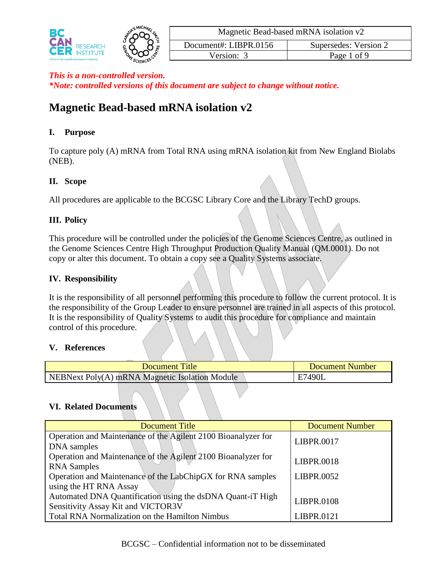

# **Magnetic Bead-based mRNA isolation v2**

### **I. Purpose**

To capture poly (A) mRNA from Total RNA using mRNA isolation kit from New England Biolabs (NEB).

### **II. Scope**

All procedures are applicable to the BCGSC Library Core and the Library TechD groups.

# **III. Policy**

This procedure will be controlled under the policies of the Genome Sciences Centre, as outlined in the Genome Sciences Centre High Throughput Production Quality Manual (QM.0001). Do not copy or alter this document. To obtain a copy see a Quality Systems associate.

# **IV. Responsibility**

It is the responsibility of all personnel performing this procedure to follow the current protocol. It is the responsibility of the Group Leader to ensure personnel are trained in all aspects of this protocol. It is the responsibility of Quality Systems to audit this procedure for compliance and maintain control of this procedure.

### **V. References**

| <b>Document Title</b>                                 | <b>Document Number</b> |
|-------------------------------------------------------|------------------------|
| <b>NEBNext Poly(A) mRNA Magnetic Isolation Module</b> | E7490L                 |

### **VI. Related Documents**

| <b>Document Title</b>                                         | <b>Document Number</b> |  |
|---------------------------------------------------------------|------------------------|--|
| Operation and Maintenance of the Agilent 2100 Bioanalyzer for | <b>LIBPR.0017</b>      |  |
| DNA samples                                                   |                        |  |
| Operation and Maintenance of the Agilent 2100 Bioanalyzer for |                        |  |
| <b>RNA</b> Samples                                            | LIBPR.0018             |  |
| Operation and Maintenance of the LabChipGX for RNA samples    | LIBPR.0052             |  |
| using the HT RNA Assay                                        |                        |  |
| Automated DNA Quantification using the dsDNA Quant-iT High    | <b>LIBPR.0108</b>      |  |
| Sensitivity Assay Kit and VICTOR3V                            |                        |  |
| Total RNA Normalization on the Hamilton Nimbus                | LIBPR.0121             |  |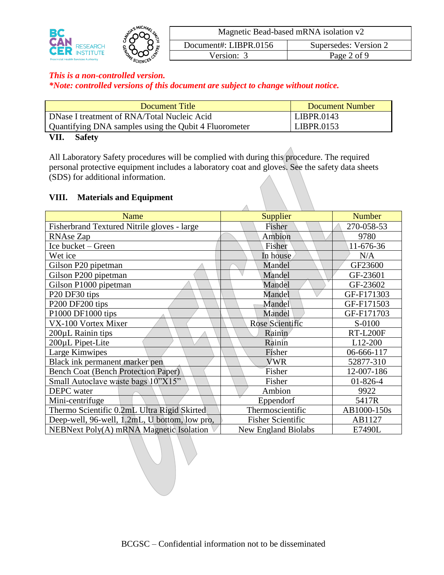

### *This is a non-controlled version.*

*\*Note: controlled versions of this document are subject to change without notice.*

| Document Title                                        | <b>Document Number</b> |
|-------------------------------------------------------|------------------------|
| DNase I treatment of RNA/Total Nucleic Acid           | LIBPR.0143             |
| Quantifying DNA samples using the Qubit 4 Fluorometer | LIBPR.0153             |
| VII.<br><b>Safety</b>                                 |                        |

All Laboratory Safety procedures will be complied with during this procedure. The required personal protective equipment includes a laboratory coat and gloves. See the safety data sheets (SDS) for additional information.

 $\overline{\wedge}$ 

#### **VIII. Materials and Equipment**

| Name                                          | Supplier                   | <b>Number</b>   |
|-----------------------------------------------|----------------------------|-----------------|
| Fisherbrand Textured Nitrile gloves - large   | Fisher                     | 270-058-53      |
| <b>RNAse Zap</b>                              | Ambion                     | 9780            |
| Ice bucket - Green                            | Fisher                     | 11-676-36       |
| Wet ice                                       | In house                   | N/A             |
| Gilson P20 pipetman                           | Mandel                     | GF23600         |
| Gilson P200 pipetman                          | Mandel                     | GF-23601        |
| Gilson P1000 pipetman                         | Mandel                     | GF-23602        |
| P <sub>20</sub> DF <sub>30</sub> tips         | Mandel                     | GF-F171303      |
| P200 DF200 tips                               | Mandel                     | GF-F171503      |
| P1000 DF1000 tips                             | Mandel                     | GF-F171703      |
| VX-100 Vortex Mixer                           | <b>Rose Scientific</b>     | S-0100          |
| 200µL Rainin tips                             | Rainin                     | <b>RT-L200F</b> |
| 200µL Pipet-Lite                              | Rainin                     | $L12-200$       |
| Large Kimwipes                                | Fisher                     | 06-666-117      |
| Black ink permanent marker pen                | <b>VWR</b>                 | 52877-310       |
| <b>Bench Coat (Bench Protection Paper)</b>    | Fisher                     | 12-007-186      |
| Small Autoclave waste bags 10"X15"            | Fisher                     | $01 - 826 - 4$  |
| DEPC water                                    | Ambion                     | 9922            |
| Mini-centrifuge                               | Eppendorf                  | 5417R           |
| Thermo Scientific 0.2mL Ultra Rigid Skirted   | Thermoscientific           | AB1000-150s     |
| Deep-well, 96-well, 1.2mL, U bottom, low pro, | <b>Fisher Scientific</b>   | AB1127          |
| NEBNext Poly(A) mRNA Magnetic Isolation       | <b>New England Biolabs</b> | E7490L          |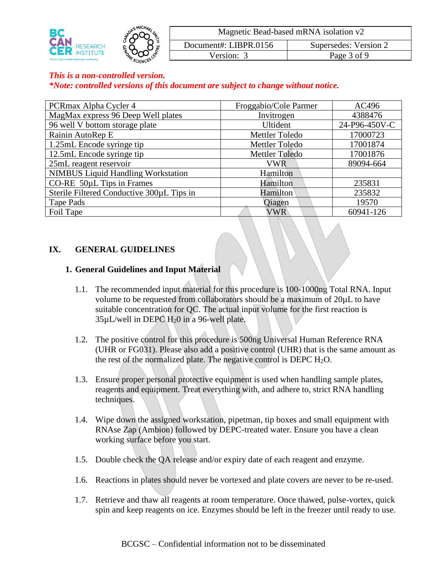

#### *This is a non-controlled version.*

*\*Note: controlled versions of this document are subject to change without notice.*

| PCRmax Alpha Cycler 4                     | Froggabio/Cole Parmer | AC496         |
|-------------------------------------------|-----------------------|---------------|
| MagMax express 96 Deep Well plates        | Invitrogen            | 4388476       |
| 96 well V bottom storage plate            | Ultident              | 24-P96-450V-C |
| Rainin AutoRep E                          | Mettler Toledo        | 17000723      |
| 1.25mL Encode syringe tip                 | Mettler Toledo        | 17001874      |
| 12.5mL Encode syringe tip                 | Mettler Toledo        | 17001876      |
| 25mL reagent reservoir                    | VWR                   | 89094-664     |
| <b>NIMBUS Liquid Handling Workstation</b> | Hamilton              |               |
| CO-RE $50\mu$ L Tips in Frames            | Hamilton              | 235831        |
| Sterile Filtered Conductive 300µL Tips in | Hamilton              | 235832        |
| Tape Pads                                 | Oiagen                | 19570         |
| Foil Tape                                 | <b>VWR</b>            | 60941-126     |

#### **IX. GENERAL GUIDELINES**

#### **1. General Guidelines and Input Material**

- 1.1. The recommended input material for this procedure is 100-1000ng Total RNA. Input volume to be requested from collaborators should be a maximum of 20µL to have suitable concentration for QC. The actual input volume for the first reaction is 35µL/well in DEPC H20 in a 96-well plate.
- 1.2. The positive control for this procedure is 500ng Universal Human Reference RNA (UHR or FG031). Please also add a positive control (UHR) that is the same amount as the rest of the normalized plate. The negative control is DEPC  $H_2O$ .
- 1.3. Ensure proper personal protective equipment is used when handling sample plates, reagents and equipment. Treat everything with, and adhere to, strict RNA handling techniques.
- 1.4. Wipe down the assigned workstation, pipetman, tip boxes and small equipment with RNAse Zap (Ambion) followed by DEPC-treated water. Ensure you have a clean working surface before you start.
- 1.5. Double check the QA release and/or expiry date of each reagent and enzyme.
- 1.6. Reactions in plates should never be vortexed and plate covers are never to be re-used.
- 1.7. Retrieve and thaw all reagents at room temperature. Once thawed, pulse-vortex, quick spin and keep reagents on ice. Enzymes should be left in the freezer until ready to use.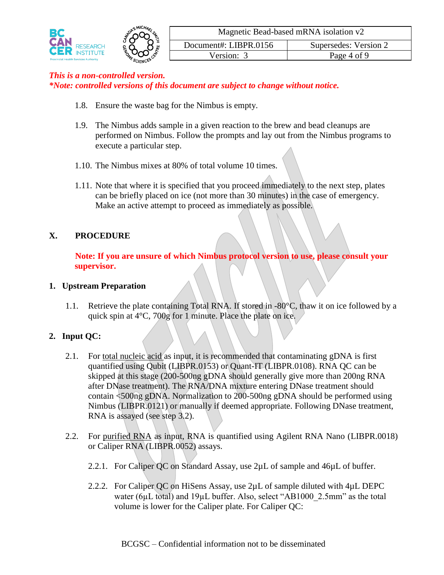

#### *This is a non-controlled version.*

*\*Note: controlled versions of this document are subject to change without notice.*

- 1.8. Ensure the waste bag for the Nimbus is empty.
- 1.9. The Nimbus adds sample in a given reaction to the brew and bead cleanups are performed on Nimbus. Follow the prompts and lay out from the Nimbus programs to execute a particular step.
- 1.10. The Nimbus mixes at 80% of total volume 10 times.
- 1.11. Note that where it is specified that you proceed immediately to the next step, plates can be briefly placed on ice (not more than 30 minutes) in the case of emergency. Make an active attempt to proceed as immediately as possible.

### **X. PROCEDURE**

**Note: If you are unsure of which Nimbus protocol version to use, please consult your supervisor.**

#### **1. Upstream Preparation**

1.1. Retrieve the plate containing Total RNA. If stored in -80°C, thaw it on ice followed by a quick spin at 4°C, 700g for 1 minute. Place the plate on ice.

#### **2. Input QC:**

- 2.1. For total nucleic acid as input, it is recommended that contaminating gDNA is first quantified using Qubit (LIBPR.0153) or Quant-IT (LIBPR.0108). RNA QC can be skipped at this stage (200-500ng gDNA should generally give more than 200ng RNA after DNase treatment). The RNA/DNA mixture entering DNase treatment should contain <500ng gDNA. Normalization to 200-500ng gDNA should be performed using Nimbus (LIBPR.0121) or manually if deemed appropriate. Following DNase treatment, RNA is assayed (see step 3.2).
- 2.2. For purified RNA as input, RNA is quantified using Agilent RNA Nano (LIBPR.0018) or Caliper RNA (LIBPR.0052) assays.
	- 2.2.1. For Caliper QC on Standard Assay, use 2µL of sample and 46µL of buffer.
	- 2.2.2. For Caliper QC on HiSens Assay, use 2 $\mu$ L of sample diluted with 4 $\mu$ L DEPC water (6µL total) and 19µL buffer. Also, select "AB1000 2.5mm" as the total volume is lower for the Caliper plate. For Caliper QC: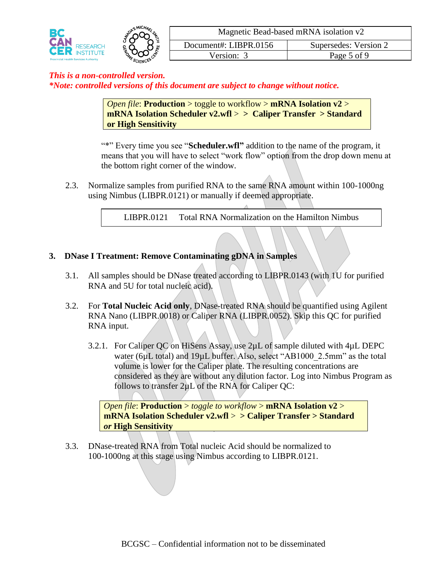

> *Open file*: **Production** > toggle to workflow > **mRNA Isolation v2** > **mRNA Isolation Scheduler v2.wfl** > **> Caliper Transfer > Standard or High Sensitivity**

"\*" Every time you see "**Scheduler.wfl"** addition to the name of the program, it means that you will have to select "work flow" option from the drop down menu at the bottom right corner of the window.

2.3. Normalize samples from purified RNA to the same RNA amount within 100-1000ng using Nimbus (LIBPR.0121) or manually if deemed appropriate.

LIBPR.0121 Total RNA Normalization on the Hamilton Nimbus

### **3. DNase I Treatment: Remove Contaminating gDNA in Samples**

- 3.1. All samples should be DNase treated according to LIBPR.0143 (with 1U for purified RNA and 5U for total nucleic acid).
- 3.2. For **Total Nucleic Acid only**, DNase-treated RNA should be quantified using Agilent RNA Nano (LIBPR.0018) or Caliper RNA (LIBPR.0052). Skip this QC for purified RNA input.
	- 3.2.1. For Caliper QC on HiSens Assay, use 2µL of sample diluted with 4µL DEPC water (6µL total) and 19µL buffer. Also, select "AB1000 2.5mm" as the total volume is lower for the Caliper plate. The resulting concentrations are considered as they are without any dilution factor. Log into Nimbus Program as follows to transfer 2µL of the RNA for Caliper QC:

*Open file*: **Production** > *toggle to workflow* > **mRNA Isolation v2** > **mRNA Isolation Scheduler v2.wfl** > **> Caliper Transfer > Standard**  *or* **High Sensitivity**

3.3. DNase-treated RNA from Total nucleic Acid should be normalized to 100-1000ng at this stage using Nimbus according to LIBPR.0121.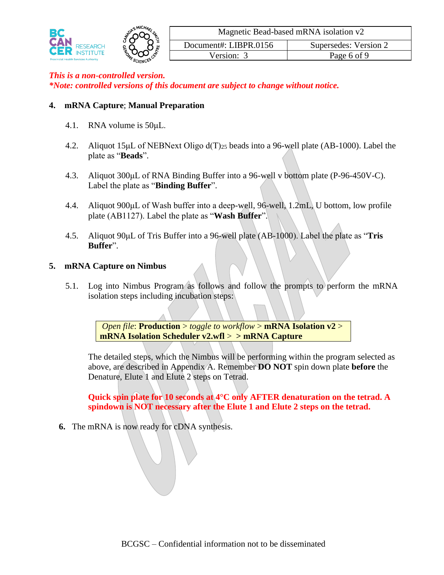

#### **4. mRNA Capture**; **Manual Preparation**

- 4.1. RNA volume is 50μL.
- 4.2. Aliquot 15μL of NEBNext Oligo d(T)<sup>25</sup> beads into a 96-well plate (AB-1000). Label the plate as "**Beads**".
- 4.3. Aliquot 300μL of RNA Binding Buffer into a 96-well v bottom plate (P-96-450V-C). Label the plate as "**Binding Buffer**".
- 4.4. Aliquot 900μL of Wash buffer into a deep-well, 96-well, 1.2mL, U bottom, low profile plate (AB1127). Label the plate as "**Wash Buffer**".
- 4.5. Aliquot 90μL of Tris Buffer into a 96-well plate (AB-1000). Label the plate as "**Tris Buffer**".

#### **5. mRNA Capture on Nimbus**

5.1. Log into Nimbus Program as follows and follow the prompts to perform the mRNA isolation steps including incubation steps:

> *Open file*: **Production** > *toggle to workflow* > **mRNA Isolation v2** > **mRNA Isolation Scheduler v2.wfl** > **> mRNA Capture**

The detailed steps, which the Nimbus will be performing within the program selected as above, are described in Appendix A. Remember **DO NOT** spin down plate **before** the Denature, Elute 1 and Elute 2 steps on Tetrad.

**Quick spin plate for 10 seconds at 4°C only AFTER denaturation on the tetrad. A spindown is NOT necessary after the Elute 1 and Elute 2 steps on the tetrad.**

**6.** The mRNA is now ready for cDNA synthesis.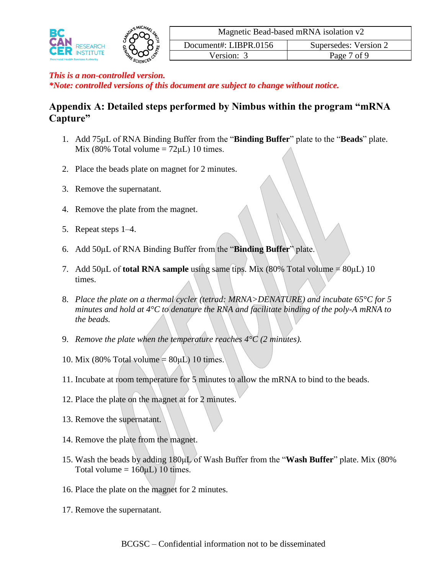

# **Appendix A: Detailed steps performed by Nimbus within the program "mRNA Capture"**

- 1. Add 75μL of RNA Binding Buffer from the "**Binding Buffer**" plate to the "**Beads**" plate. Mix (80% Total volume  $= 72 \mu L$ ) 10 times.
- 2. Place the beads plate on magnet for 2 minutes.
- 3. Remove the supernatant.
- 4. Remove the plate from the magnet.
- 5. Repeat steps 1–4.
- 6. Add 50μL of RNA Binding Buffer from the "**Binding Buffer**" plate.
- 7. Add 50 $\mu$ L of **total RNA sample** using same tips. Mix (80% Total volume  $\neq 80 \mu$ L) 10 times.
- 8. *Place the plate on a thermal cycler (tetrad: MRNA>DENATURE) and incubate 65°C for 5 minutes and hold at 4°C to denature the RNA and facilitate binding of the poly-A mRNA to the beads.*
- 9. *Remove the plate when the temperature reaches 4°C (2 minutes).*
- 10. Mix (80% Total volume  $= 80 \mu L$ ) 10 times.
- 11. Incubate at room temperature for 5 minutes to allow the mRNA to bind to the beads.
- 12. Place the plate on the magnet at for 2 minutes.
- 13. Remove the supernatant.
- 14. Remove the plate from the magnet.
- 15. Wash the beads by adding 180μL of Wash Buffer from the "**Wash Buffer**" plate. Mix (80% Total volume =  $160 \mu L$ ) 10 times.
- 16. Place the plate on the magnet for 2 minutes.
- 17. Remove the supernatant.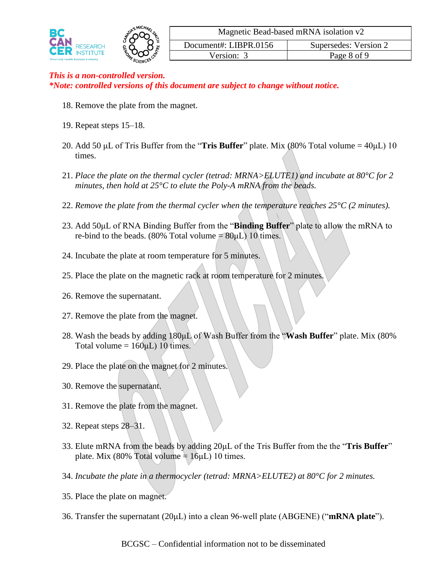

- 18. Remove the plate from the magnet.
- 19. Repeat steps 15–18.
- 20. Add 50 μL of Tris Buffer from the "**Tris Buffer**" plate. Mix (80% Total volume = 40μL) 10 times.
- 21. *Place the plate on the thermal cycler (tetrad: MRNA>ELUTE1) and incubate at 80°C for 2 minutes, then hold at 25°C to elute the Poly-A mRNA from the beads.*
- 22. *Remove the plate from the thermal cycler when the temperature reaches 25°C (2 minutes).*
- 23. Add 50μL of RNA Binding Buffer from the "**Binding Buffer**" plate to allow the mRNA to re-bind to the beads. (80% Total volume  $\neq 80 \mu L$ ) 10 times.
- 24. Incubate the plate at room temperature for 5 minutes.
- 25. Place the plate on the magnetic rack at room temperature for 2 minutes.
- 26. Remove the supernatant.
- 27. Remove the plate from the magnet.
- 28. Wash the beads by adding 180μL of Wash Buffer from the "**Wash Buffer**" plate. Mix (80% Total volume =  $160 \mu L$ ) 10 times.
- 29. Place the plate on the magnet for 2 minutes.
- 30. Remove the supernatant.
- 31. Remove the plate from the magnet.
- 32. Repeat steps 28–31.
- 33. Elute mRNA from the beads by adding 20μL of the Tris Buffer from the the "**Tris Buffer**" plate. Mix (80% Total volume  $\pm 16 \mu L$ ) 10 times.
- 34. *Incubate the plate in a thermocycler (tetrad: MRNA>ELUTE2) at 80°C for 2 minutes.*
- 35. Place the plate on magnet.
- 36. Transfer the supernatant (20μL) into a clean 96-well plate (ABGENE) ("**mRNA plate**").